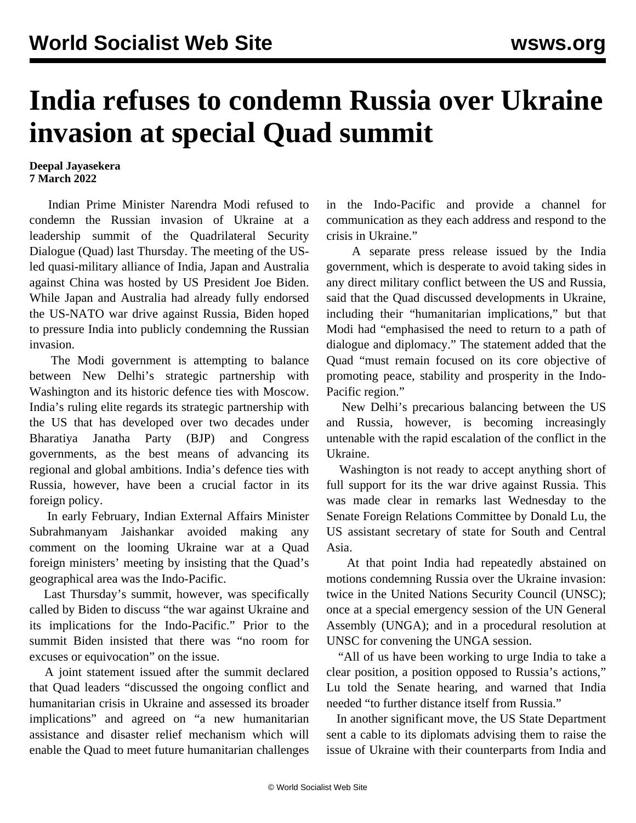## **India refuses to condemn Russia over Ukraine invasion at special Quad summit**

**Deepal Jayasekera 7 March 2022**

 Indian Prime Minister Narendra Modi refused to condemn the Russian invasion of Ukraine at a leadership summit of the Quadrilateral Security Dialogue (Quad) last Thursday. The meeting of the USled quasi-military alliance of India, Japan and Australia against China was hosted by US President Joe Biden. While Japan and Australia had already fully endorsed the US-NATO war drive against Russia, Biden hoped to pressure India into publicly condemning the Russian invasion.

 The Modi government is attempting to balance between New Delhi's strategic partnership with Washington and its historic defence ties with Moscow. India's ruling elite regards its strategic partnership with the US that has developed over two decades under Bharatiya Janatha Party (BJP) and Congress governments, as the best means of advancing its regional and global ambitions. India's defence ties with Russia, however, have been a crucial factor in its foreign policy.

 In early February, Indian External Affairs Minister Subrahmanyam Jaishankar avoided making any comment on the looming Ukraine war at a [Quad](/en/articles/2022/02/12/quad-f12.html) [foreign ministers'](/en/articles/2022/02/12/quad-f12.html) meeting by insisting that the Quad's geographical area was the Indo-Pacific.

 Last Thursday's summit, however, was specifically called by Biden to discuss "the war against Ukraine and its implications for the Indo-Pacific." Prior to the summit Biden insisted that there was "no room for excuses or equivocation" on the issue.

 A joint statement issued after the summit declared that Quad leaders "discussed the ongoing conflict and humanitarian crisis in Ukraine and assessed its broader implications" and agreed on "a new humanitarian assistance and disaster relief mechanism which will enable the Quad to meet future humanitarian challenges in the Indo-Pacific and provide a channel for communication as they each address and respond to the crisis in Ukraine."

 A separate press release issued by the India government, which is desperate to avoid taking sides in any direct military conflict between the US and Russia, said that the Quad discussed developments in Ukraine, including their "humanitarian implications," but that Modi had "emphasised the need to return to a path of dialogue and diplomacy." The statement added that the Quad "must remain focused on its core objective of promoting peace, stability and prosperity in the Indo-Pacific region."

 New Delhi's precarious balancing between the US and Russia, however, is becoming increasingly untenable with the rapid escalation of the conflict in the Ukraine.

 Washington is not ready to accept anything short of full support for its the war drive against Russia. This was made clear in remarks last Wednesday to the Senate Foreign Relations Committee by Donald Lu, the US assistant secretary of state for South and Central Asia.

 At that point India had repeatedly abstained on motions condemning Russia over the Ukraine invasion: twice in the United Nations Security Council (UNSC); once at a special emergency session of the UN General Assembly (UNGA); and in a procedural resolution at UNSC for convening the UNGA session.

 "All of us have been working to urge India to take a clear position, a position opposed to Russia's actions," Lu told the Senate hearing, and warned that India needed "to further distance itself from Russia."

 In another significant move, the US State Department sent a cable to its diplomats advising them to raise the issue of Ukraine with their counterparts from India and